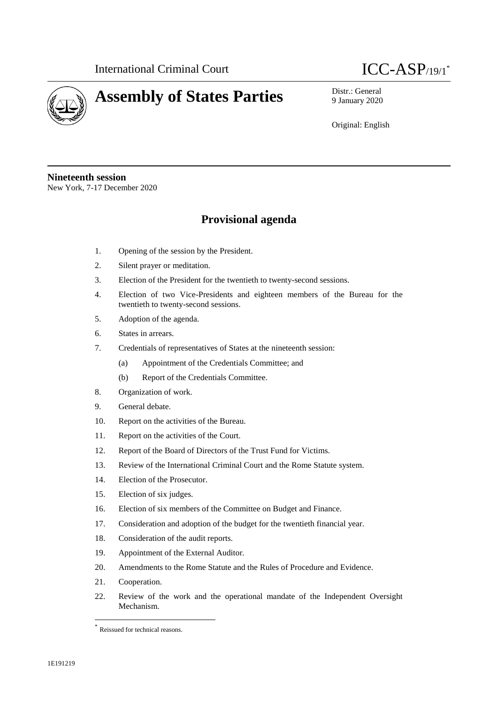



9 January 2020

Original: English

**Nineteenth session** New York, 7-17 December 2020

## **Provisional agenda**

- 1. Opening of the session by the President.
- 2. Silent prayer or meditation.
- 3. Election of the President for the twentieth to twenty-second sessions.
- 4. Election of two Vice-Presidents and eighteen members of the Bureau for the twentieth to twenty-second sessions.
- 5. Adoption of the agenda.
- 6. States in arrears.
- 7. Credentials of representatives of States at the nineteenth session:
	- (a) Appointment of the Credentials Committee; and
	- (b) Report of the Credentials Committee.
- 8. Organization of work.
- 9. General debate.
- 10. Report on the activities of the Bureau.
- 11. Report on the activities of the Court.
- 12. Report of the Board of Directors of the Trust Fund for Victims.
- 13. Review of the International Criminal Court and the Rome Statute system.
- 14. Election of the Prosecutor.
- 15. Election of six judges.
- 16. Election of six members of the Committee on Budget and Finance.
- 17. Consideration and adoption of the budget for the twentieth financial year.
- 18. Consideration of the audit reports.
- 19. Appointment of the External Auditor.
- 20. Amendments to the Rome Statute and the Rules of Procedure and Evidence.
- 21. Cooperation.

 $\overline{a}$ 

22. Review of the work and the operational mandate of the Independent Oversight Mechanism.

<sup>\*</sup> Reissued for technical reasons.